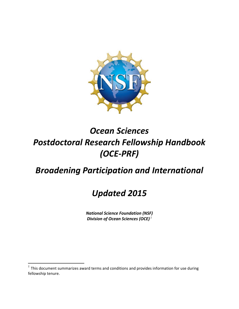

# *Ocean Sciences Postdoctoral Research Fellowship Handbook (OCE‐PRF)*

# *Broadening Participation and International*

# *Updated 2015*

 *National Science Foundation (NSF) Division of Ocean Sciences (OCE) <sup>1</sup>*

 $<sup>1</sup>$  This document summarizes award terms and conditions and provides information for use during</sup> fellowship tenure.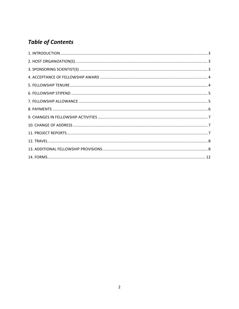# **Table of Contents**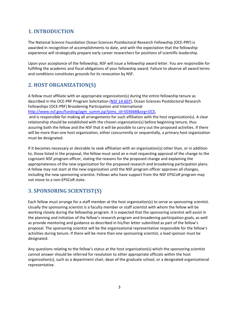# <span id="page-2-0"></span> **1. INTRODUCTION**

 The National Science Foundation Ocean Sciences Postdoctoral Research Fellowship (OCE‐PRF) is awarded in recognition of accomplishments to date, and with the expectation that the fellowship experience will strategically prepare early career researchers for positions of scientific leadership.

 Upon your acceptance of the fellowship, NSF will issue a fellowship award letter. You are responsible for fulfilling the academic and fiscal obligations of your fellowship award. Failure to observe all award terms and conditions constitutes grounds for its revocation by NSF.

# **2. HOST ORGANIZATION(S)**

 A fellow must affiliate with an appropriate organization(s) during the entire fellowship tenure as described in the OCE-PRF Program Solicitation (NSF 14-607), Ocean Sciences Postdoctoral Research Fellowships (OCE‐PRF) Broadening Participation and International

http://www.nsf.gov/funding/pgm\_summ.jsp?pims\_id=503668&org=OCE,

 and is responsible for making all arrangements for such affiliation with the host organization(s). A clear relationship should be established with the chosen organization(s) before beginning tenure, thus assuring both the fellow and the NSF that it will be possible to carry out the proposed activities. If there will be more than one host organization, either concurrently or sequentially, a primary host organization must be designated.

 If it becomes necessary or desirable to seek affiliation with an organization(s) other than, or in addition to, those listed in the proposal, the fellow must send an e‐mail requesting approval of the change to the cognizant NSF program officer, stating the reasons for the proposed change and explaining the appropriateness of the new organization for the proposed research and broadening participation plans. A fellow may not start at the new organization until the NSF program officer approves all changes, including the new sponsoring scientist. Fellows who have support from the NSF EPSCoR program may not move to a non‐EPSCoR state.

# **3. SPONSORING SCIENTIST(S)**

 Each fellow must arrange for a staff member at the host organization(s) to serve as sponsoring scientist. Usually the sponsoring scientist is a faculty member or staff scientist with whom the fellow will be working closely during the fellowship program. It is expected that the sponsoring scientist will assist in the planning and initiation of the fellow's research program and broadening participation goals, as well as provide mentoring and guidance as described in his/her letter submitted as part of the fellow's proposal. The sponsoring scientist will be the organizational representative responsible for the fellow's activities during tenure. If there will be more than one sponsoring scientist, a lead sponsor must be designated.

 Any questions relating to the fellow's status at the host organization(s) which the sponsoring scientist cannot answer should be referred for resolution to other appropriate officials within the host organization(s), such as a department chair, dean of the graduate school, or a designated organizational representative.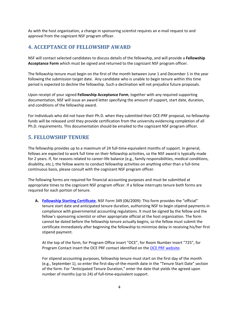<span id="page-3-0"></span> As with the host organization, a change in sponsoring scientist requires an e‐mail request to and approval from the cognizant NSF program officer.

# **4. ACCEPTANCE OF FELLOWSHIP AWARD**

 NSF will contact selected candidates to discuss details of the fellowship, and will provide a **Fellowship Acceptance Form** which must be signed and returned to the cognizant NSF program officer.

 The fellowship tenure must begin on the first of the month between June 1 and December 1 in the year following the submission target date. Any candidate who is unable to begin tenure within this time period is expected to decline the fellowship. Such a declination will not prejudice future proposals.

  Upon receipt of your signed **Fellowship Acceptance Form**, together with any required supporting documentation, NSF will issue an award letter specifying the amount of support, start date, duration, and conditions of the fellowship award.

 For individuals who did not have their Ph.D. when they submitted their OCE‐PRF proposal, no fellowship funds will be released until they provide certification from the university evidencing completion of all Ph.D. requirements. This documentation should be emailed to the cognizant NSF program officer.

#### **5. FELLOWSHIP TENURE**

 The fellowship provides up to a maximum of 24 full‐time‐equivalent months of support. In general, fellows are expected to work full time on their fellowship activities, so the NSF award is typically made for 2 years. If, for reasons related to career‐life balance (e.g., family responsibilities, medical conditions, disability, etc.), the fellow wants to conduct fellowship activities on anything other than a full‐time continuous basis, please consult with the cognizant NSF program officer.

 The following forms are required for financial accounting purposes and must be submitted at appropriate times to the cognizant NSF program officer. If a fellow interrupts tenure both forms are required for each portion of tenure.

 **A. [Fellowship](http://www.nsf.gov/publications/pub_summ.jsp?ods_key=fellowstartcertfm349) Starting Certificate**, NSF Form 349 (06/2009): This form provides the "official" tenure start date and anticipated tenure duration, authorizing NSF to begin stipend payments in compliance with governmental accounting regulations. It must be signed by the fellow and the fellow's sponsoring scientist or other appropriate official at the host organization. The form cannot be dated before the fellowship tenure actually begins, so the fellow must submit the certificate immediately after beginning the fellowship to minimize delay in receiving his/her first stipend payment.

 At the top of the form, for Program Office insert "OCE", for Room Number insert "725", for Program Contact insert the OCE PRF contact identified on the OCE PRF [website.](http://www.nsf.gov/funding/pgm_summ.jsp?pims_id=503668&org=OCE)

 For stipend accounting purposes, fellowship tenure must start on the first day of the month (e.g., September 1), so enter the first‐day‐of‐the‐month date in the "Tenure Start Date" section of the form. For "Anticipated Tenure Duration," enter the date that yields the agreed upon number of months (up to 24) of full‐time‐equivalent support.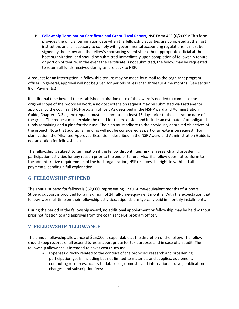<span id="page-4-0"></span> **B. Fellowship Termination Certificate and Grant Fiscal Report**, NSF Form 453 (6/2009): This form provides the official termination date when the fellowship activities are completed at the host institution, and is necessary to comply with governmental accounting regulations. It must be signed by the fellow and the fellow's sponsoring scientist or other appropriate official at the host organization, and should be submitted immediately upon completion of fellowship tenure, or portion of tenure. In the event the certificate is not submitted, the fellow may be requested to return all funds received during tenure back to NSF.

 A request for an interruption in fellowship tenure may be made by e‐mail to the cognizant program officer. In general, approval will not be given for periods of less than three full‐time months. (See section 8 on Payments.)

 If additional time beyond the established expiration date of the award is needed to complete the original scope of the proposed work, a no‐cost extension request may be submitted via FastLane for approval by the cognizant NSF program officer. As described in the NSF Award and Administration Guide, Chapter I.D.3.c., the request must be submitted at least 45 days prior to the expiration date of the grant. The request must explain the need for the extension and include an estimate of unobligated funds remaining and a plan for their use. The plan must adhere to the previously approved objectives of the project. Note that additional funding will not be considered as part of an extension request. (For clarification, the "Grantee‐Approved Extension" described in the NSF Award and Administration Guide is not an option for fellowships.)

 The fellowship is subject to termination if the fellow discontinues his/her research and broadening participation activities for any reason prior to the end of tenure. Also, if a fellow does not conform to the administrative requirements of the host organization, NSF reserves the right to withhold all payments, pending a full explanation.

### **6. FELLOWSHIP STIPEND**

 The annual stipend for fellows is \$62,000, representing 12 full‐time‐equivalent months of support. Stipend support is provided for a maximum of 24 full‐time‐equivalent months. With the expectation that fellows work full time on their fellowship activities, stipends are typically paid in monthly installments.

 During the period of the fellowship award, no additional appointment or fellowship may be held without prior notification to and approval from the cognizant NSF program officer.

#### **7. FELLOWSHIP ALLOWANCE**

 The annual fellowship allowance of \$25,000 is expendable at the discretion of the fellow. The fellow should keep records of all expenditures as appropriate for tax purposes and in case of an audit. The fellowship allowance is intended to cover costs such as:

• Expenses directly related to the conduct of the proposed research and broadening participation goals, including but not limited to materials and supplies, equipment, computing resources, access to databases, domestic and international travel, publication charges, and subscription fees;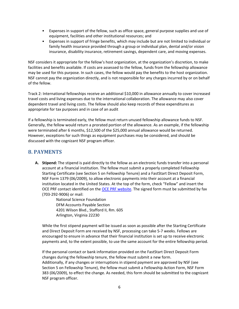- <span id="page-5-0"></span>• Expenses in support of the fellow, such as office space, general purpose supplies and use of equipment, facilities and other institutional resources; and
- family health insurance provided through a group or individual plan, dental and/or vision insurance, disability insurance, retirement savings, dependent care, and moving expenses. • Expenses in support of fringe benefits, which may include but are not limited to individual or

 NSF considers it appropriate for the fellow's host organization, at the organization's discretion, to make facilities and benefits available. If costs are assessed to the fellow, funds from the fellowship allowance may be used for this purpose. In such cases, the fellow would pay the benefits to the host organization. NSF cannot pay the organization directly, and is not responsible for any charges incurred by or on behalf of the fellow.

 Track 2: International fellowships receive an additional \$10,000 in allowance annually to cover increased travel costs and living expenses due to the international collaboration. The allowance may also cover dependent travel and living costs. The fellow should also keep records of these expenditures as appropriate for tax purposes and in case of an audit

 If a fellowship is terminated early, the fellow must return unused fellowship allowance funds to NSF. Generally, the fellow would return a prorated portion of the allowance. As an example, if the fellowship were terminated after 6 months, \$12,500 of the \$25,000 annual allowance would be returned. However, exceptions for such things as equipment purchases may be considered, and should be discussed with the cognizant NSF program officer.

#### **8. PAYMENTS**

 **A. Stipend:** The stipend is paid directly to the fellow as an electronic funds transfer into a personal account at a financial institution. The fellow must submit a properly completed Fellowship Starting Certificate (see Section 5 on Fellowship Tenure) and a FastStart Direct Deposit Form, NSF Form 1379 (06/2009), to allow electronic payments into their account at a financial institution located in the United States. At the top of the form, check "Fellow" and insert the OCE PRF contact identified on the *OCE PRF [website](http://www.nsf.gov/funding/pgm_summ.jsp?pims_id=503668&org=OCE)*. The signed form must be submitted by fax (703‐292‐9006) or mail:

> National Science Foundation DFM Accounts Payable Section 4201 Wilson Blvd., Stafford II, Rm. 605 Arlington, Virginia 22230

 While the first stipend payment will be issued as soon as possible after the Starting Certificate and Direct Deposit Form are received by NSF, processing can take 5‐7 weeks. Fellows are encouraged to ensure in advance that their financial institution is set up to receive electronic payments and, to the extent possible, to use the same account for the entire fellowship period.

 If the personal contact or bank information provided on the FastStart Direct Deposit Form changes during the fellowship tenure, the fellow must submit a new form. Additionally, if any changes or interruptions in stipend payment are approved by NSF (see Section 5 on Fellowship Tenure), the fellow must submit a Fellowship Action Form, NSF Form 383 (06/2009), to effect the change. As needed, this form should be submitted to the cognizant NSF program officer.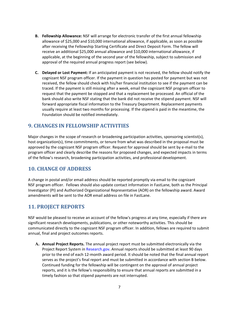- <span id="page-6-0"></span> **B. Fellowship Allowance:** NSF will arrange for electronic transfer of the first annual fellowship allowance of \$25,000 and \$10,000 international allowance, if applicable, as soon as possible after receiving the Fellowship Starting Certificate and Direct Deposit Form. The fellow will receive an additional \$25,000 annual allowance and \$10,000 international allowance, if applicable, at the beginning of the second year of the fellowship, subject to submission and approval of the required annual progress report (see below).
- **C. Delayed or Lost Payment:** If an anticipated payment is not received, the fellow should notify the cognizant NSF program officer. If the payment in question has posted for payment but was not received, the fellow should check with his/her financial institution to see if the payment can be traced. If the payment is still missing after a week, email the cognizant NSF program officer to request that the payment be stopped and that a replacement be processed. An official of the bank should also write NSF stating that the bank did not receive the stipend payment. NSF will forward appropriate fiscal information to the Treasury Department. Replacement payments usually require at least two months for processing. If the stipend is paid in the meantime, the Foundation should be notified immediately.

### **.. 9. CHANGES IN FELLOWSHIP ACTIVITIES**

 Major changes in the scope of research or broadening participation activities, sponsoring scientist(s), host organization(s), time commitments, or tenure from what was described in the proposal must be approved by the cognizant NSF program officer. Request for approval should be sent by e‐mail to the program officer and clearly describe the reasons for proposed changes, and expected impacts in terms of the fellow's research, broadening participation activities, and professional development.

# **.. 10. CHANGE OF ADDRESS**

 A change in postal and/or email address should be reported promptly via email to the cognizant NSF program officer. Fellows should also update contact information in FastLane, both as the Principal Investigator (PI) and Authorized Organizational Representative (AOR) on the fellowship award. Award amendments will be sent to the AOR email address on file in FastLane.

# **.. 11. PROJECT REPORTS**

 NSF would be pleased to receive an account of the fellow's progress at any time, especially if there are significant research developments, publications, or other noteworthy activities. This should be communicated directly to the cognizant NSF program officer. In addition, fellows are required to submit annual, final and project outcomes reports.

 **A. Annual Project Reports.** The annual project report must be submitted electronically via the Project Report System in Research.gov. Annual reports should be submitted at least 90 days prior to the end of each 12‐month award period. It should be noted that the final annual report serves as the project's final report and must be submitted in accordance with section B below. Continued funding for the fellowship will be contingent on the approval of annual project reports, and it is the fellow's responsibility to ensure that annual reports are submitted in a timely fashion so that stipend payments are not interrupted.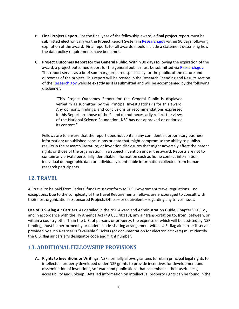- <span id="page-7-0"></span> **B. Final Project Report.** For the final year of the fellowship award, a final project report must be submitted electronically via the Project Report System in Research.gov within 90 days following expiration of the award. Final reports for all awards should include a statement describing how the data policy requirements have been met.
- **C. Project Outcomes Report for the General Public.** Within 90 days following the expiration of the award, a project outcomes report for the general public must be submitted via Research.gov. This report serves as a brief summary, prepared specifically for the public, of the nature and outcomes of the project. This report will be posted in the Research Spending and Results section  of the Research.gov website **exactly as it is submitted** and will be accompanied by the following disclaimer:

 "This Project Outcomes Report for the General Public is displayed verbatim as submitted by the Principal Investigator (PI) for this award. Any opinions, findings, and conclusions or recommendations expressed in this Report are those of the PI and do not necessarily reflect the views of the National Science Foundation; NSF has not approved or endorsed its content."

 Fellows are to ensure that the report does not contain any confidential, proprietary business information; unpublished conclusions or data that might compromise the ability to publish results in the research literature; or invention disclosures that might adversely affect the patent rights or those of the organization, in a subject invention under the award. Reports are not to contain any private personally identifiable information such as home contact information, individual demographic data or individually identifiable information collected from human research participants.

#### **12. TRAVEL**

 All travel to be paid from Federal funds must conform to U.S. Government travel regulations – no exceptions. Due to the complexity of the travel Requirements, fellows are encouraged to consult with their host organization's Sponsored Projects Office – or equivalent – regarding any travel issues.

 **Use of U.S.‐Flag Air Carriers.** As detailed in the NSF Award and Administration Guide, Chapter VI.F.1.c., and in accordance with the Fly America Act (49 USC 40118), any air transportation to, from, between, or within a country other than the U.S. of persons or property, the expense of which will be assisted by NSF funding, must be performed by or under a code‐sharing arrangement with a U.S.‐flag air carrier if service provided by such a carrier is "available." Tickets (or documentation for electronic tickets) must identify the U.S. flag air carrier's designator code and flight number.

#### **13. ADDITIONAL FELLOWSHIP PROVISIONS**

 **A. Rights to Inventions or Writings.** NSF normally allows grantees to retain principal legal rights to intellectual property developed under NSF grants to provide incentives for development and dissemination of inventions, software and publications that can enhance their usefulness, accessibility and upkeep. Detailed information on intellectual property rights can be found in the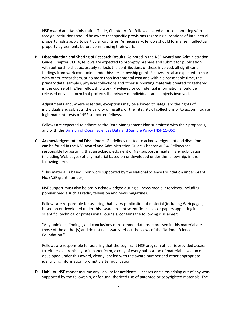NSF Award and Administration Guide, Chapter VI.D. Fellows hosted at or collaborating with foreign institutions should be aware that specific provisions regarding allocations of intellectual property rights apply to particular countries. As necessary, fellows should formalize intellectual property agreements before commencing their work.

 **B. Dissemination and Sharing of Research Results.** As noted in the NSF Award and Administration Guide, Chapter VI.D.4, fellows are expected to promptly prepare and submit for publication, with authorship that accurately reflects the contributions of those involved, all significant findings from work conducted under his/her fellowship grant. Fellows are also expected to share with other researchers, at no more than incremental cost and within a reasonable time, the primary data, samples, physical collections and other supporting materials created or gathered in the course of his/her fellowship work. Privileged or confidential information should be released only in a form that protects the privacy of individuals and subjects involved.

 Adjustments and, where essential, exceptions may be allowed to safeguard the rights of individuals and subjects, the validity of results, or the integrity of collections or to accommodate legitimate interests of NSF‐supported fellows.

 Fellows are expected to adhere to the Data Management Plan submitted with their proposals, and with the *Division of Ocean Sciences Data and Sample Policy (NSF 11-060)*.

 **C. Acknowledgement and Disclaimers.** Guidelines related to acknowledgement and disclaimers can be found in the NSF Award and Administration Guide, Chapter VI.E.4. Fellows are responsible for assuring that an acknowledgment of NSF support is made in any publication (including Web pages) of any material based on or developed under the fellowship, in the following terms:

 "This material is based upon work supported by the National Science Foundation under Grant No. (NSF grant number)."

 NSF support must also be orally acknowledged during all news media interviews, including popular media such as radio, television and news magazines.

 Fellows are responsible for assuring that every publication of material (including Web pages) based on or developed under this award, except scientific articles or papers appearing in scientific, technical or professional journals, contains the following disclaimer:

 "Any opinions, findings, and conclusions or recommendations expressed in this material are those of the author(s) and do not necessarily reflect the views of the National Science Foundation."

 Fellows are responsible for assuring that the cognizant NSF program officer is provided access to, either electronically or in paper form, a copy of every publication of material based on or developed under this award, clearly labeled with the award number and other appropriate identifying information, promptly after publication.

 **D. Liability.** NSF cannot assume any liability for accidents, illnesses or claims arising out of any work supported by the fellowship, or for unauthorized use of patented or copyrighted materials. The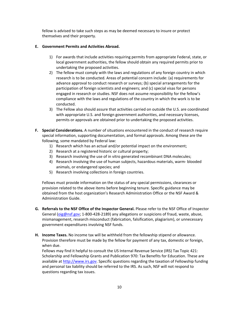fellow is advised to take such steps as may be deemed necessary to insure or protect themselves and their property.

#### **E. Government Permits and Activities Abroad.**

- 1) For awards that include activities requiring permits from appropriate Federal, state, or local government authorities, the fellow should obtain any required permits prior to undertaking the proposed activities.
- 2) The fellow must comply with the laws and regulations of any foreign country in which research is to be conducted. Areas of potential concern include: (a) requirements for advance approval to conduct research or surveys; (b) special arrangements for the participation of foreign scientists and engineers; and (c) special visas for persons engaged in research or studies. NSF does not assume responsibility for the fellow's compliance with the laws and regulations of the country in which the work is to be conducted.
- 3) The Fellow also should assure that activities carried on outside the U.S. are coordinated with appropriate U.S. and foreign government authorities, and necessary licenses, permits or approvals are obtained prior to undertaking the proposed activities.
- **F. Special Considerations.** A number of situations encountered in the conduct of research require special information, supporting documentation, and formal approvals. Among these are the following, some mandated by Federal law:
	- 1) Research which has an actual and/or potential impact on the environment;
	- 2) Research at a registered historic or cultural property;
	- 3) Research involving the use of in vitro generated recombinant DNA molecules;
	- 4) Research involving the use of human subjects, hazardous materials, warm‐ blooded animals, or endangered species; and
	- 5) Research involving collections in foreign countries.

 Fellows must provide information on the status of any special permissions, clearances or provision related to the above items before beginning tenure. Specific guidance may be obtained from the host organization's Research Administration Office or the NSF Award & Administration Guide.

- **G. Referrals to the NSF Office of the Inspector General.** Please refer to the NSF Office of Inspector General (oig@nsf.gov; 1-800-428-2189) any allegations or suspicions of fraud, waste, abuse, mismanagement, research misconduct (fabrication, falsification, plagiarism), or unnecessary government expenditures involving NSF funds.
- **H. Income Taxes.** No income tax will be withheld from the fellowship stipend or allowance. Provision therefore must be made by the fellow for payment of any tax, domestic or foreign, when due.

 Fellows may find it helpful to consult the US Internal Revenue Service (IRS) Tax Topic 421: Scholarship and Fellowship Grants and Publication 970: Tax Benefits for Education. These are available at http://www.irs.gov. Specific questions regarding the taxation of Fellowship funding and personal tax liability should be referred to the IRS. As such, NSF will not respond to questions regarding tax issues.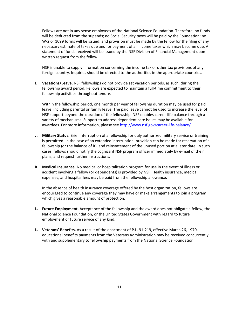Fellows are not in any sense employees of the National Science Foundation. Therefore, no funds will be deducted from the stipends; no Social Security taxes will be paid by the Foundation; no W‐2 or 1099 forms will be issued; and provision must be made by the fellow for the filing of any necessary estimate of taxes due and for payment of all income taxes which may become due. A statement of funds received will be issued by the NSF Division of Financial Management upon written request from the fellow.

 NSF is unable to supply information concerning the income tax or other tax provisions of any foreign country. Inquiries should be directed to the authorities in the appropriate countries.

**I.** Vacations/Leave. NSF fellowships do not provide set vacation periods, as such, during the fellowship award period. Fellows are expected to maintain a full‐time commitment to their fellowship activities throughout tenure.

 Within the fellowship period, one month per year of fellowship duration may be used for paid leave, including parental or family leave. The paid leave cannot be used to increase the level of NSF support beyond the duration of the fellowship. NSF enables career‐life balance through a variety of mechanisms. Support to address dependent care issues may be available for awardees. For more information, please see <u>http://www.nsf.gov/career-life-balance/</u>.

- **J. Military Status.** Brief interruption of a fellowship for duly authorized military service or training is permitted. In the case of an extended interruption, provision can be made for reservation of a fellowship (or the balance of it), and reinstatement of the unused portion at a later date. In such cases, fellows should notify the cognizant NSF program officer immediately by e‐mail of their plans, and request further instructions.
- **K. Medical Insurance.** No medical or hospitalization program for use in the event of illness or accident involving a fellow (or dependents) is provided by NSF. Health insurance, medical expenses, and hospital fees may be paid from the fellowship allowance.

 In the absence of health insurance coverage offered by the host organization, fellows are encouraged to continue any coverage they may have or make arrangements to join a program which gives a reasonable amount of protection.

- **L. Future Employment.** Acceptance of the fellowship and the award does not obligate a fellow, the National Science Foundation, or the United States Government with regard to future employment or future service of any kind.
- **L. Veterans' Benefits.** As a result of the enactment of P.L. 91‐219, effective March 26, 1970, educational benefits payments from the Veterans Administration may be received concurrently with and supplementary to fellowship payments from the National Science Foundation.